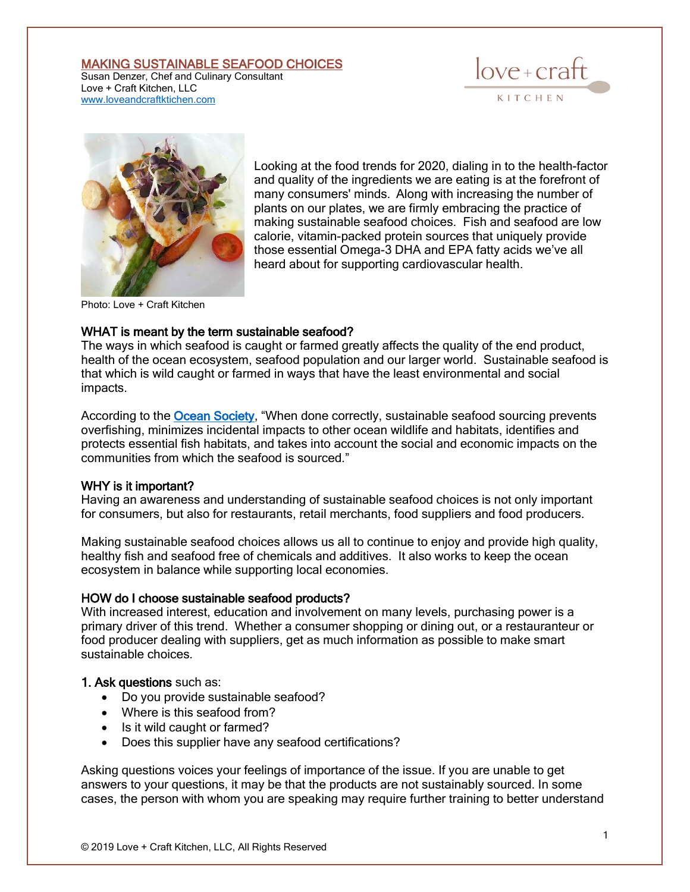### MAKING SUSTAINABLE SEAFOOD CHOICES

Susan Denzer, Chef and Culinary Consultant Love + Craft Kitchen, LLC [www.loveandcraftktichen.com](http://www.loveandcraftktichen.com/)





Looking at the food trends for 2020, dialing in to the health-factor and quality of the ingredients we are eating is at the forefront of many consumers' minds. Along with increasing the number of plants on our plates, we are firmly embracing the practice of making sustainable seafood choices. Fish and seafood are low calorie, vitamin-packed protein sources that uniquely provide those essential Omega-3 DHA and EPA fatty acids we've all heard about for supporting cardiovascular health.

Photo: Love + Craft Kitchen

#### WHAT is meant by the term sustainable seafood?

The ways in which seafood is caught or farmed greatly affects the quality of the end product, health of the ocean ecosystem, seafood population and our larger world. Sustainable seafood is that which is wild caught or farmed in ways that have the least environmental and social impacts.

According to the [Ocean Society](http://www.oceanicsociety.org/), "When done correctly, sustainable seafood sourcing prevents overfishing, minimizes incidental impacts to other ocean wildlife and habitats, identifies and protects essential fish habitats, and takes into account the social and economic impacts on the communities from which the seafood is sourced."

#### WHY is it important?

Having an awareness and understanding of sustainable seafood choices is not only important for consumers, but also for restaurants, retail merchants, food suppliers and food producers.

Making sustainable seafood choices allows us all to continue to enjoy and provide high quality, healthy fish and seafood free of chemicals and additives. It also works to keep the ocean ecosystem in balance while supporting local economies.

#### HOW do I choose sustainable seafood products?

With increased interest, education and involvement on many levels, purchasing power is a primary driver of this trend. Whether a consumer shopping or dining out, or a restauranteur or food producer dealing with suppliers, get as much information as possible to make smart sustainable choices.

#### 1. Ask questions such as:

- Do you provide sustainable seafood?
- Where is this seafood from?
- Is it wild caught or farmed?
- Does this supplier have any seafood certifications?

Asking questions voices your feelings of importance of the issue. If you are unable to get answers to your questions, it may be that the products are not sustainably sourced. In some cases, the person with whom you are speaking may require further training to better understand